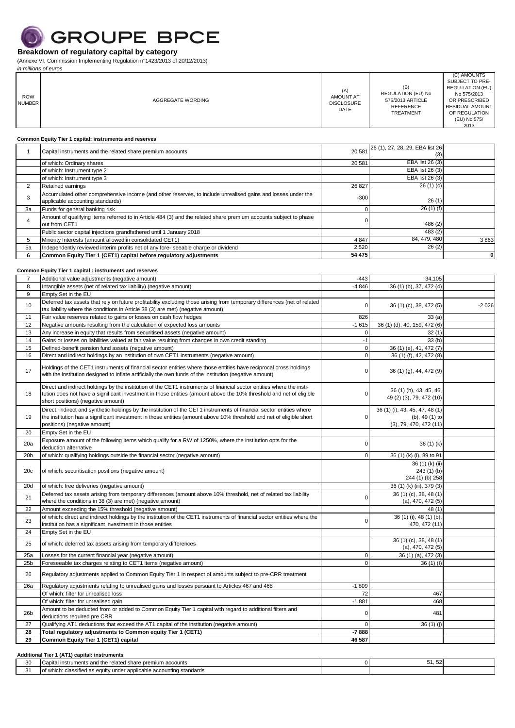

(Annexe VI, Commission Implementing Regulation n°1423/2013 of 20/12/2013)

31 of which: classified as equity under applicable accounting standards

 $\overline{\phantom{a}}$ 

| in millions of euros        |                                                                                                                                                                                                                                                                                    |                                                      |                                                                                |                                                                                                                                                       |
|-----------------------------|------------------------------------------------------------------------------------------------------------------------------------------------------------------------------------------------------------------------------------------------------------------------------------|------------------------------------------------------|--------------------------------------------------------------------------------|-------------------------------------------------------------------------------------------------------------------------------------------------------|
| <b>ROW</b><br><b>NUMBER</b> | AGGREGATE WORDING                                                                                                                                                                                                                                                                  | (A)<br><b>AMOUNT AT</b><br><b>DISCLOSURE</b><br>DATE | (B)<br>REGULATION (EU) No<br>575/2013 ARTICLE<br><b>REFERENCE</b><br>TREATMENT | (C) AMOUNTS<br>SUBJECT TO PRE-<br>REGU-LATION (EU)<br>No 575/2013<br>OR PRESCRIBED<br><b>RESIDUAL AMOUNT</b><br>OF REGULATION<br>(EU) No 575/<br>2013 |
|                             |                                                                                                                                                                                                                                                                                    |                                                      |                                                                                |                                                                                                                                                       |
|                             | Common Equity Tier 1 capital: instruments and reserves                                                                                                                                                                                                                             |                                                      | 26 (1), 27, 28, 29, EBA list 26                                                |                                                                                                                                                       |
| $\mathbf{1}$                | Capital instruments and the related share premium accounts                                                                                                                                                                                                                         | 20 581                                               | (3)                                                                            |                                                                                                                                                       |
|                             | of which: Ordinary shares<br>of which: Instrument type 2                                                                                                                                                                                                                           | 20 581                                               | EBA list 26 (3)<br>EBA list 26 (3)                                             |                                                                                                                                                       |
|                             | of which: Instrument type 3                                                                                                                                                                                                                                                        |                                                      | EBA list 26 (3)                                                                |                                                                                                                                                       |
| 2                           | Retained earnings                                                                                                                                                                                                                                                                  | 26 827                                               | 26(1)(c)                                                                       |                                                                                                                                                       |
| 3                           | Accumulated other comprehensive income (and other reserves, to include unrealised gains and losses under the<br>applicable accounting standards)                                                                                                                                   | $-300$                                               | 26(1)                                                                          |                                                                                                                                                       |
| За                          | Funds for general banking risk                                                                                                                                                                                                                                                     | $\mathbf 0$                                          | 26(1)(f)                                                                       |                                                                                                                                                       |
| 4                           | Amount of qualifying items referred to in Article 484 (3) and the related share premium accounts subject to phase<br>out from CET1                                                                                                                                                 | 0                                                    | 486 (2)                                                                        |                                                                                                                                                       |
|                             | Public sector capital injections grandfathered until 1 January 2018                                                                                                                                                                                                                |                                                      | 483 (2)                                                                        |                                                                                                                                                       |
| 5                           | Minority Interests (amount allowed in consolidated CET1)                                                                                                                                                                                                                           | 4 8 4 7                                              | 84, 479, 480                                                                   | 3863                                                                                                                                                  |
| 5a                          | Independently reviewed interim profits net of any fore- seeable charge or dividend                                                                                                                                                                                                 | 2 5 20                                               | 26(2)                                                                          |                                                                                                                                                       |
| 6                           | Common Equity Tier 1 (CET1) capital before regulatory adjustments                                                                                                                                                                                                                  | 54 475                                               |                                                                                | $\pmb{0}$                                                                                                                                             |
|                             | Common Equity Tier 1 capital : instruments and reserves                                                                                                                                                                                                                            |                                                      |                                                                                |                                                                                                                                                       |
| $\overline{7}$              | Additional value adjustments (negative amount)                                                                                                                                                                                                                                     | $-443$                                               | 34,105                                                                         |                                                                                                                                                       |
| 8                           | Intangible assets (net of related tax liability) (negative amount)                                                                                                                                                                                                                 | $-4846$                                              | 36 (1) (b), 37, 472 (4)                                                        |                                                                                                                                                       |
| 9                           | Empty Set in the EU                                                                                                                                                                                                                                                                |                                                      |                                                                                |                                                                                                                                                       |
| 10                          | Deferred tax assets that rely on future profitability excluding those arising from temporary differences (net of related<br>tax liability where the conditions in Article 38 (3) are met) (negative amount)                                                                        | 0                                                    | 36 (1) (c), 38, 472 (5)                                                        | $-2026$                                                                                                                                               |
| 11                          | Fair value reserves related to gains or losses on cash flow hedges                                                                                                                                                                                                                 | 826                                                  | 33(a)                                                                          |                                                                                                                                                       |
| 12                          | Negative amounts resulting from the calculation of expected loss amounts                                                                                                                                                                                                           | $-1615$                                              | 36 (1) (d), 40, 159, 472 (6)                                                   |                                                                                                                                                       |
| 13<br>14                    | Any increase in equity that results from securitised assets (negative amount)<br>Gains or losses on liabilities valued at fair value resulting from changes in own credit standing                                                                                                 | $\pmb{0}$<br>$-1$                                    | 32(1)<br>33(b)                                                                 |                                                                                                                                                       |
| 15                          | Defined-benefit pension fund assets (negative amount)                                                                                                                                                                                                                              | $\mathbf 0$                                          | 36 (1) (e), 41, 472 (7)                                                        |                                                                                                                                                       |
| 16                          | Direct and indirect holdings by an institution of own CET1 instruments (negative amount)                                                                                                                                                                                           | $\mathbf 0$                                          | 36 (1) (f), 42, 472 (8)                                                        |                                                                                                                                                       |
| 17                          | Holdings of the CET1 instruments of financial sector entities where those entities have reciprocal cross holdings<br>with the institution designed to inflate artificially the own funds of the institution (negative amount)                                                      | 0                                                    | 36 (1) (g), 44, 472 (9)                                                        |                                                                                                                                                       |
| 18                          | Direct and indirect holdings by the institution of the CET1 instruments of financial sector entities where the insti-<br>tution does not have a significant investment in those entities (amount above the 10% threshold and net of eligible<br>short positions) (negative amount) | 0                                                    | 36 (1) (h), 43, 45, 46,<br>49 (2) (3), 79, 472 (10)                            |                                                                                                                                                       |
| 19                          | Direct, indirect and synthetic holdings by the institution of the CET1 instruments of financial sector entities where<br>the institution has a significant investment in those entities (amount above 10% threshold and net of eligible short<br>positions) (negative amount)      | 0                                                    | 36 (1) (i), 43, 45, 47, 48 (1)<br>$(b)$ , 49 $(1)$ to<br>(3), 79, 470, 472(11) |                                                                                                                                                       |
| 20                          | Empty Set in the EU                                                                                                                                                                                                                                                                |                                                      |                                                                                |                                                                                                                                                       |
| 20a                         | Exposure amount of the following items which qualify for a RW of 1250%, where the institution opts for the                                                                                                                                                                         | 0                                                    | 36(1)(k)                                                                       |                                                                                                                                                       |
| 20 <sub>b</sub>             | deduction alternative<br>of which: qualifying holdings outside the financial sector (negative amount)                                                                                                                                                                              | υ                                                    | 36 (1) (k) (i), 89 to 91                                                       |                                                                                                                                                       |
|                             |                                                                                                                                                                                                                                                                                    |                                                      | 36 (1) (k) (ii)                                                                |                                                                                                                                                       |
| 20c                         | of which: securitisation positions (negative amount)                                                                                                                                                                                                                               |                                                      | 243 (1) (b)<br>244 (1) (b) 258                                                 |                                                                                                                                                       |
| 20d                         | of which: free deliveries (negative amount)                                                                                                                                                                                                                                        |                                                      | 36 (1) (k) (iii), 379 (3)                                                      |                                                                                                                                                       |
| 21                          | Deferred tax assets arising from temporary differences (amount above 10% threshold, net of related tax liability<br>where the conditions in 38 (3) are met) (negative amount)                                                                                                      | 0                                                    | 36 (1) (c), 38, 48 (1)<br>$(a)$ , 470, 472 $(5)$                               |                                                                                                                                                       |
| 22                          | Amount exceeding the 15% threshold (negative amount)                                                                                                                                                                                                                               |                                                      | 48 (1)                                                                         |                                                                                                                                                       |
| 23                          | of which: direct and indirect holdings by the institution of the CET1 instruments of financial sector entities where the                                                                                                                                                           | 0                                                    | 36 (1) (i), 48 (1) (b),                                                        |                                                                                                                                                       |
| 24                          | institution has a significant investment in those entities<br>Empty Set in the EU                                                                                                                                                                                                  |                                                      | 470, 472 (11)                                                                  |                                                                                                                                                       |
| 25                          | of which: deferred tax assets arising from temporary differences                                                                                                                                                                                                                   |                                                      | 36 (1) (c), 38, 48 (1)                                                         |                                                                                                                                                       |
| 25a                         | Losses for the current financial year (negative amount)                                                                                                                                                                                                                            | 0                                                    | $(a)$ , 470, 472 $(5)$<br>36 (1) (a), 472 (3)                                  |                                                                                                                                                       |
| 25 <sub>b</sub>             | Foreseeable tax charges relating to CET1 items (negative amount)                                                                                                                                                                                                                   | $\mathbf 0$                                          | 36(1)(1)                                                                       |                                                                                                                                                       |
| 26                          | Regulatory adjustments applied to Common Equity Tier 1 in respect of amounts subject to pre-CRR treatment                                                                                                                                                                          |                                                      |                                                                                |                                                                                                                                                       |
| 26a                         | Regulatory adjustments relating to unrealised gains and losses pursuant to Articles 467 and 468                                                                                                                                                                                    | $-1809$                                              |                                                                                |                                                                                                                                                       |
|                             | Of which: filter for unrealised loss                                                                                                                                                                                                                                               | 72                                                   | 467                                                                            |                                                                                                                                                       |
|                             | Of which: filter for unrealised gain<br>Amount to be deducted from or added to Common Equity Tier 1 capital with regard to additional filters and                                                                                                                                  | $-1881$                                              | 468                                                                            |                                                                                                                                                       |
| 26 <sub>b</sub>             | deductions required pre CRR                                                                                                                                                                                                                                                        | 0                                                    | 481                                                                            |                                                                                                                                                       |
| 27                          | Qualifying AT1 deductions that exceed the AT1 capital of the institution (negative amount)                                                                                                                                                                                         | $\mathbf 0$                                          | 36(1)(j)                                                                       |                                                                                                                                                       |
| 28<br>29                    | Total regulatory adjustments to Common equity Tier 1 (CET1)<br>Common Equity Tier 1 (CET1) capital                                                                                                                                                                                 | $-7888$<br>46 587                                    |                                                                                |                                                                                                                                                       |
|                             |                                                                                                                                                                                                                                                                                    |                                                      |                                                                                |                                                                                                                                                       |
|                             | Additional Tier 1 (AT1) capital: instruments                                                                                                                                                                                                                                       |                                                      |                                                                                |                                                                                                                                                       |
| 30                          | Capital instruments and the related share premium accounts                                                                                                                                                                                                                         | $\mathsf{O}\xspace$                                  | 51, 52                                                                         |                                                                                                                                                       |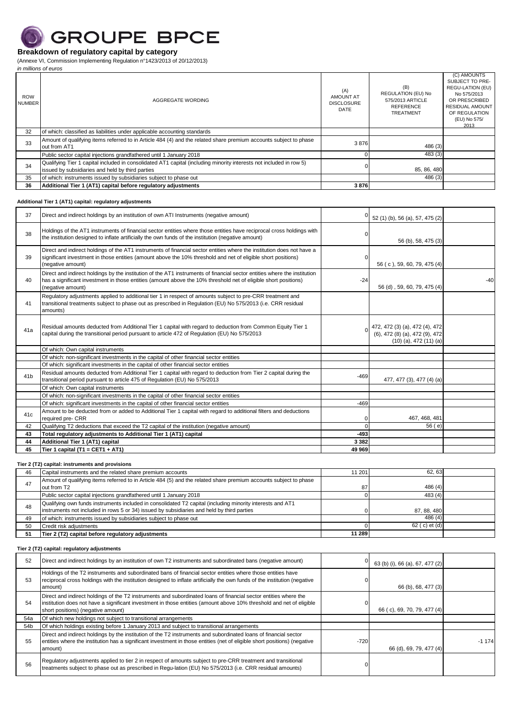

(Annexe VI, Commission Implementing Regulation n°1423/2013 of 20/12/2013) *in millions of euros*

| <b>ROW</b><br><b>NUMBER</b> | AGGREGATE WORDING                                                                                                                                                       | (A)<br><b>AMOUNT AT</b><br><b>DISCLOSURE</b><br>DATE | (B)<br><b>REGULATION (EU) No</b><br>575/2013 ARTICLE<br><b>REFERENCE</b><br><b>TREATMENT</b> | (C) AMOUNTS<br>SUBJECT TO PRE-<br>REGU-LATION (EU)<br>No 575/2013<br>OR PRESCRIBED<br><b>RESIDUAL AMOUNT</b><br>OF REGULATION<br>(EU) No 575/<br>2013 |
|-----------------------------|-------------------------------------------------------------------------------------------------------------------------------------------------------------------------|------------------------------------------------------|----------------------------------------------------------------------------------------------|-------------------------------------------------------------------------------------------------------------------------------------------------------|
| 32                          | of which: classified as liabilities under applicable accounting standards                                                                                               |                                                      |                                                                                              |                                                                                                                                                       |
| 33                          | Amount of qualifying items referred to in Article 484 (4) and the related share premium accounts subject to phase<br>out from AT1                                       | 3876                                                 | 486 (3)                                                                                      |                                                                                                                                                       |
|                             | Public sector capital injections grandfathered until 1 January 2018                                                                                                     |                                                      | 483 (3)                                                                                      |                                                                                                                                                       |
| 34                          | Qualifying Tier 1 capital included in consolidated AT1 capital (including minority interests not included in row 5)<br>issued by subsidiaries and held by third parties |                                                      | 85, 86, 480                                                                                  |                                                                                                                                                       |
| 35                          | of which: instruments issued by subsidiaries subject to phase out                                                                                                       |                                                      | 486(3)                                                                                       |                                                                                                                                                       |
| 36                          | Additional Tier 1 (AT1) capital before regulatory adjustments                                                                                                           | 3876                                                 |                                                                                              |                                                                                                                                                       |

#### **Additional Tier 1 (AT1) capital: regulatory adjustments**

| 37              | Direct and indirect holdings by an institution of own ATI Instruments (negative amount)                                                                                                                                                                           |          | 52 (1) (b), 56 (a), 57, 475 (2)                                                                  |       |
|-----------------|-------------------------------------------------------------------------------------------------------------------------------------------------------------------------------------------------------------------------------------------------------------------|----------|--------------------------------------------------------------------------------------------------|-------|
| 38              | Holdings of the AT1 instruments of financial sector entities where those entities have reciprocal cross holdings with<br>the institution designed to inflate artificially the own funds of the institution (negative amount)                                      |          | 56 (b), 58, 475 (3)                                                                              |       |
| 39              | Direct and indirect holdings of the AT1 instruments of financial sector entities where the institution does not have a<br>significant investment in those entities (amount above the 10% threshold and net of eligible short positions)<br>(negative amount)      | $\Omega$ | 56 (c), 59, 60, 79, 475 (4)                                                                      |       |
| 40              | Direct and indirect holdings by the institution of the AT1 instruments of financial sector entities where the institution<br>has a significant investment in those entities (amount above the 10% threshold net of eligible short positions)<br>(negative amount) | $-24$    | 56 (d), 59, 60, 79, 475 (4)                                                                      | $-40$ |
| 41              | Regulatory adjustments applied to additional tier 1 in respect of amounts subject to pre-CRR treatment and<br>transitional treatments subject to phase out as prescribed in Regulation (EU) No 575/2013 (i.e. CRR residual<br>amounts)                            |          |                                                                                                  |       |
| 41a             | Residual amounts deducted from Additional Tier 1 capital with regard to deduction from Common Equity Tier 1<br>capital during the transitional period pursuant to article 472 of Regulation (EU) No 575/2013                                                      |          | 0 472, 472 (3) (a), 472 (4), 472<br>(6), 472 (8) (a), 472 (9), 472<br>$(10)$ (a), 472 $(11)$ (a) |       |
|                 | Of which: Own capital instruments                                                                                                                                                                                                                                 |          |                                                                                                  |       |
|                 | Of which: non-significant investments in the capital of other financial sector entities                                                                                                                                                                           |          |                                                                                                  |       |
|                 | Of which: significant investments in the capital of other financial sector entities                                                                                                                                                                               |          |                                                                                                  |       |
| 41 <sub>b</sub> | Residual amounts deducted from Additional Tier 1 capital with regard to deduction from Tier 2 capital during the<br>transitional period pursuant to article 475 of Regulation (EU) No 575/2013                                                                    | $-469$   | 477, 477 (3), 477 (4) (a)                                                                        |       |
|                 | Of which: Own capital instruments                                                                                                                                                                                                                                 |          |                                                                                                  |       |
|                 | Of which: non-significant investments in the capital of other financial sector entities                                                                                                                                                                           |          |                                                                                                  |       |
|                 | Of which: significant investments in the capital of other financial sector entities                                                                                                                                                                               | $-469$   |                                                                                                  |       |
| 41c             | Amount to be deducted from or added to Additional Tier 1 capital with regard to additional filters and deductions<br>required pre- CRR                                                                                                                            | $\Omega$ | 467, 468, 481                                                                                    |       |
| 42              | Qualifying T2 deductions that exceed the T2 capital of the institution (negative amount)                                                                                                                                                                          | $\Omega$ | 56(e)                                                                                            |       |
| 43              | Total regulatory adjustments to Additional Tier 1 (AT1) capital                                                                                                                                                                                                   | $-493$   |                                                                                                  |       |
| 44              | Additional Tier 1 (AT1) capital                                                                                                                                                                                                                                   | 3 3 8 2  |                                                                                                  |       |
| 45              | Tier 1 capital (T1 = CET1 + AT1)                                                                                                                                                                                                                                  | 49 969   |                                                                                                  |       |

## **Tier 2 (T2) capital: instruments and provisions**

| 46 | Capital instruments and the related share premium accounts                                                                                                                                               | 11 201 | 62.63          |  |
|----|----------------------------------------------------------------------------------------------------------------------------------------------------------------------------------------------------------|--------|----------------|--|
| 47 | Amount of qualifying items referred to in Article 484 (5) and the related share premium accounts subject to phase<br>out from T2                                                                         | 87     | 486(4)         |  |
|    | Public sector capital injections grandfathered until 1 January 2018                                                                                                                                      |        | 483(4)         |  |
| 48 | Qualifying own funds instruments included in consolidated T2 capital (including minority interests and AT1<br>instruments not included in rows 5 or 34) issued by subsidiaries and held by third parties |        | 87, 88, 480    |  |
| 49 | of which: instruments issued by subsidiaries subject to phase out                                                                                                                                        |        | 486(4)         |  |
| 50 | Credit risk adjustments                                                                                                                                                                                  |        | 62 ( c) et (d) |  |
| 51 | Tier 2 (T2) capital before regulatory adjustments                                                                                                                                                        | 11 289 |                |  |

## **Tier 2 (T2) capital: regulatory adjustments**

| 52  | Direct and indirect holdings by an institution of own T2 instruments and subordinated bans (negative amount)                                                                                                                                                                   |        | 63 (b) (i), 66 (a), 67, 477 (2) |         |
|-----|--------------------------------------------------------------------------------------------------------------------------------------------------------------------------------------------------------------------------------------------------------------------------------|--------|---------------------------------|---------|
| 53  | Holdings of the T2 instruments and subordinated bans of financial sector entities where those entities have<br>reciprocal cross holdings with the institution designed to inflate artificially the own funds of the institution (negative<br>amount)                           |        | 66 (b), 68, 477 (3)             |         |
| 54  | Direct and indirect holdings of the T2 instruments and subordinated loans of financial sector entities where the<br>institution does not have a significant investment in those entities (amount above 10% threshold and net of eligible<br>short positions) (negative amount) |        | 66 (c), 69, 70, 79, 477 (4)     |         |
| 54a | Of which new holdings not subject to transitional arrangements                                                                                                                                                                                                                 |        |                                 |         |
| 54b | Of which holdings existing before 1 January 2013 and subject to transitional arrangements                                                                                                                                                                                      |        |                                 |         |
| 55  | Direct and indirect holdings by the institution of the T2 instruments and subordinated loans of financial sector<br>entities where the institution has a significant investment in those entities (net of eligible short positions) (negative<br>amount)                       | $-720$ | 66 (d), 69, 79, 477 (4)         | $-1174$ |
| 56  | Regulatory adjustments applied to tier 2 in respect of amounts subject to pre-CRR treatment and transitional<br>treatments subject to phase out as prescribed in Regu-lation (EU) No 575/2013 (i.e. CRR residual amounts)                                                      |        |                                 |         |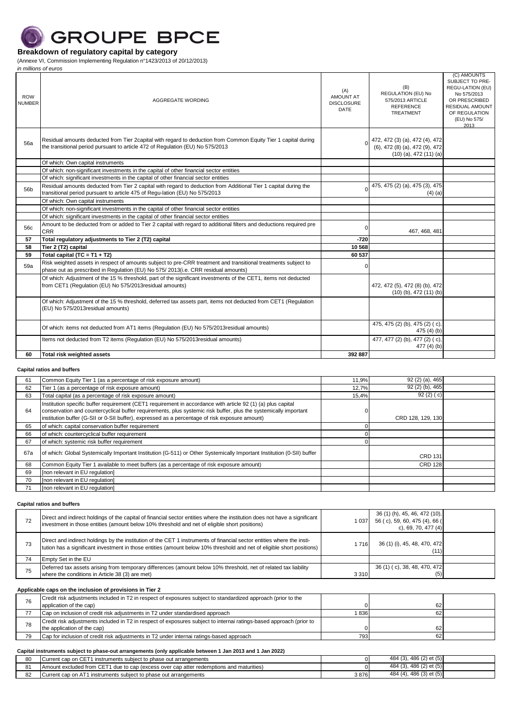

(Annexe VI, Commission Implementing Regulation n°1423/2013 of 20/12/2013)

| in millions of euros        |                                                                                                                                                                                                     |                                                             |                                                                                                |                                                                                                                                                |
|-----------------------------|-----------------------------------------------------------------------------------------------------------------------------------------------------------------------------------------------------|-------------------------------------------------------------|------------------------------------------------------------------------------------------------|------------------------------------------------------------------------------------------------------------------------------------------------|
| <b>ROW</b><br><b>NUMBER</b> | AGGREGATE WORDING                                                                                                                                                                                   | (A)<br><b>AMOUNT AT</b><br><b>DISCLOSURE</b><br><b>DATE</b> | (B)<br><b>REGULATION (EU) No</b><br>575/2013 ARTICLE<br><b>REFERENCE</b><br><b>TREATMENT</b>   | (C) AMOUNTS<br>SUBJECT TO PRE-<br>REGU-LATION (EU)<br>No 575/2013<br>OR PRESCRIBED<br>RESIDUAL AMOUNT<br>OF REGULATION<br>(EU) No 575/<br>2013 |
| 56a                         | Residual amounts deducted from Tier 2capital with regard to deduction from Common Equity Tier 1 capital during<br>the transitional period pursuant to article 472 of Regulation (EU) No 575/2013    |                                                             | 472, 472 (3) (a), 472 (4), 472<br>(6), 472 (8) (a), 472 (9), 472<br>$(10)$ (a), 472 $(11)$ (a) |                                                                                                                                                |
|                             | Of which: Own capital instruments                                                                                                                                                                   |                                                             |                                                                                                |                                                                                                                                                |
|                             | Of which: non-significant investments in the capital of other financial sector entities                                                                                                             |                                                             |                                                                                                |                                                                                                                                                |
|                             | Of which: significant investments in the capital of other financial sector entities                                                                                                                 |                                                             |                                                                                                |                                                                                                                                                |
| 56b                         | Residual amounts deducted from Tier 2 capital with regard to deduction from Additional Tier 1 capital during the<br>transitional period pursuant to article 475 of Regu-lation (EU) No 575/2013     |                                                             | 475, 475 (2) (a), 475 (3), 475<br>$(4)$ (a)                                                    |                                                                                                                                                |
|                             | Of which: Own capital instruments                                                                                                                                                                   |                                                             |                                                                                                |                                                                                                                                                |
|                             | Of which: non-significant investments in the capital of other financial sector entities                                                                                                             |                                                             |                                                                                                |                                                                                                                                                |
|                             | Of which: significant investments in the capital of other financial sector entities                                                                                                                 |                                                             |                                                                                                |                                                                                                                                                |
| 56c                         | Amount to be deducted from or added to Tier 2 capital with regard to additional filters and deductions required pre<br><b>CRR</b>                                                                   | $\Omega$                                                    | 467, 468, 481                                                                                  |                                                                                                                                                |
| 57                          | Total regulatory adjustments to Tier 2 (T2) capital                                                                                                                                                 | $-720$                                                      |                                                                                                |                                                                                                                                                |
| 58                          | Tier 2 (T2) capital                                                                                                                                                                                 | 10 568                                                      |                                                                                                |                                                                                                                                                |
| 59                          | Total capital (TC = $T1 + T2$ )                                                                                                                                                                     | 60 537                                                      |                                                                                                |                                                                                                                                                |
| 59a                         | Risk weighted assets in respect of amounts subject to pre-CRR treatment and transitional treatments subject to<br>phase out as prescribed in Requlation (EU) No 575/2013(i.e. CRR residual amounts) | n                                                           |                                                                                                |                                                                                                                                                |
|                             | Of which: Adjustment of the 15 % threshold, part of the significant investments of the CET1, items not deducted<br>from CET1 (Regulation (EU) No 575/2013 residual amounts)                         |                                                             | 472, 472 (5), 472 (8) (b), 472<br>$(10)$ (b), 472 $(11)$ (b)                                   |                                                                                                                                                |
|                             | Of which: Adjustment of the 15 % threshold, deferred tax assets part, items not deducted from CET1 (Regulation<br>(EU) No 575/2013 residual amounts)                                                |                                                             |                                                                                                |                                                                                                                                                |
|                             | Of which: items not deducted from AT1 items (Regulation (EU) No 575/2013 residual amounts)                                                                                                          |                                                             | 475, 475 (2) (b), 475 (2) (c),<br>475 $(4)$ $(b)$                                              |                                                                                                                                                |
|                             | Items not deducted from T2 items (Regulation (EU) No 575/2013 residual amounts)                                                                                                                     |                                                             | 477, 477 (2) (b), 477 (2) (c),<br>477 $(4)(b)$                                                 |                                                                                                                                                |
| 60                          | <b>Total risk weighted assets</b>                                                                                                                                                                   | 392 887                                                     |                                                                                                |                                                                                                                                                |

### **Capital ratios and buffers**

| 61  | Common Equity Tier 1 (as a percentage of risk exposure amount)                                                                                                                                                                                                                                                                     | 11,9% | 92 (2) (a), 465   |  |
|-----|------------------------------------------------------------------------------------------------------------------------------------------------------------------------------------------------------------------------------------------------------------------------------------------------------------------------------------|-------|-------------------|--|
| 62  | Tier 1 (as a percentage of risk exposure amount)                                                                                                                                                                                                                                                                                   | 12,7% | 92 (2) (b), 465   |  |
| 63  | Total capital (as a percentage of risk exposure amount)                                                                                                                                                                                                                                                                            | 15,4% | 92(2)(c)          |  |
| 64  | Institution specific buffer requirement (CET1 requirement in accordance with article 92 (1) (a) plus capital<br>conservation and countercyclical buffer requirements, plus systemic risk buffer, plus the systemically important<br>institution buffer (G-SII or 0-SII buffer), expressed as a percentage of risk exposure amount) |       | CRD 128, 129, 130 |  |
| 65  | of which: capital conservation buffer requirement                                                                                                                                                                                                                                                                                  |       |                   |  |
| 66  | of which: countercyclical buffer requirement                                                                                                                                                                                                                                                                                       |       |                   |  |
| 67  | of which: systemic risk buffer requirement                                                                                                                                                                                                                                                                                         |       |                   |  |
| 67a | of which: Global Systemically Important Institution (G-511) or Other Systemically Important Institution (0-SII) buffer                                                                                                                                                                                                             |       | <b>CRD 131</b>    |  |
| 68  | Common Equity Tier 1 available to meet buffers (as a percentage of risk exposure amount)                                                                                                                                                                                                                                           |       | <b>CRD 128</b>    |  |
| 69  | [non relevant in EU regulation]                                                                                                                                                                                                                                                                                                    |       |                   |  |
| 70  | [non relevant in EU regulation]                                                                                                                                                                                                                                                                                                    |       |                   |  |
| 71  | [non relevant in EU regulation]                                                                                                                                                                                                                                                                                                    |       |                   |  |

**Capital ratios and buffers**

| 72 | Direct and indirect holdings of the capital of financial sector entities where the institution does not have a significant<br>investment in those entities (amount below 10% threshold and net of eligible short positions)                      | 1 037   | 36 (1) (h), 45, 46, 472 (10),<br>56 (c), 59, 60, 475 (4), 66 (<br>c), 69, 70, 477 (4) |  |
|----|--------------------------------------------------------------------------------------------------------------------------------------------------------------------------------------------------------------------------------------------------|---------|---------------------------------------------------------------------------------------|--|
| 73 | Direct and indirect holdings by the institution of the CET 1 instruments of financial sector entities where the insti-<br>tution has a significant investment in those entities (amount below 10% threshold and net of eligible short positions) | 716     | 36 (1) (i), 45, 48, 470, 472<br>(11)                                                  |  |
| 74 | Empty Set in the EU                                                                                                                                                                                                                              |         |                                                                                       |  |
| 75 | Deferred tax assets arising from temporary differences (amount below 10% threshold, net of related tax liability<br>where the conditions in Article 38 (3) are met)                                                                              | 3 3 1 0 | 36 (1) (c), 38, 48, 470, 472<br>(5)                                                   |  |

#### **Applicable caps on the inclusion of provisions in Tier 2**

|    | Credit risk adjustments included in T2 in respect of exposures subject to standardized approach (prior to the       |     |    |  |
|----|---------------------------------------------------------------------------------------------------------------------|-----|----|--|
|    | application of the cap)                                                                                             |     | 62 |  |
|    | Cap on inclusion of credit risk adjustments in T2 under standardised approach                                       | 836 |    |  |
| 78 | Credit risk adjustments included in T2 in respect of exposures subject to internai ratings-based approach (prior to |     |    |  |
|    | the application of the cap)                                                                                         |     | 62 |  |
| 79 | Cap for inclusion of credit risk adjustments in T2 under internal ratings-based approach                            | 793 |    |  |

|    | Capital instruments subject to phase-out arrangements (only applicable between 1 Jan 2013 and 1 Jan 2022) |      |                         |  |
|----|-----------------------------------------------------------------------------------------------------------|------|-------------------------|--|
| 80 | Current cap on CET1 instruments subject to phase out arrangements                                         |      | 484 (3), 486 (2) et (5) |  |
|    | Amount excluded from CET1 due to cap (excess over cap atter redemptions and maturities)                   |      | 484 (3), 486 (2) et (5) |  |
| 82 | Current cap on AT1 instruments subject to phase out arrangements                                          | 3876 | 484 (4), 486 (3) et (5) |  |